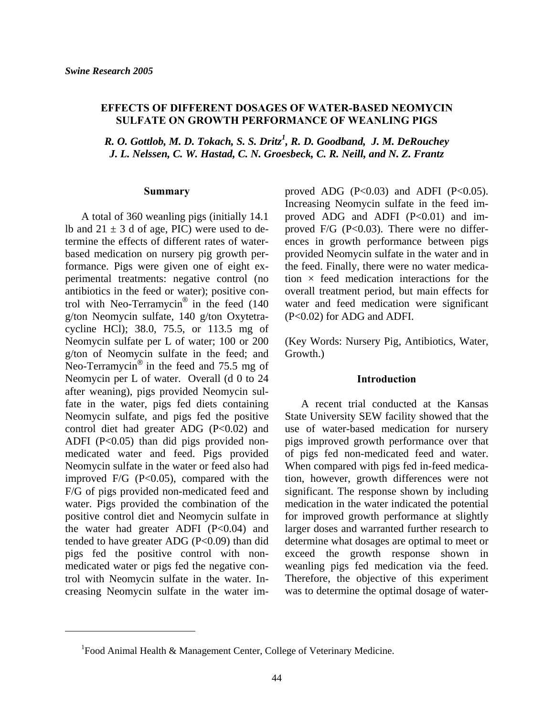# **EFFECTS OF DIFFERENT DOSAGES OF WATER-BASED NEOMYCIN SULFATE ON GROWTH PERFORMANCE OF WEANLING PIGS**

*R. O. Gottlob, M. D. Tokach, S. S. Dritz<sup>1</sup>, R. D. Goodband, J. M. DeRouchey J. L. Nelssen, C. W. Hastad, C. N. Groesbeck, C. R. Neill, and N. Z. Frantz*

#### **Summary**

A total of 360 weanling pigs (initially 14.1 lb and  $21 \pm 3$  d of age, PIC) were used to determine the effects of different rates of waterbased medication on nursery pig growth performance. Pigs were given one of eight experimental treatments: negative control (no antibiotics in the feed or water); positive control with Neo-Terramycin® in the feed (140 g/ton Neomycin sulfate, 140 g/ton Oxytetracycline HCl); 38.0, 75.5, or 113.5 mg of Neomycin sulfate per L of water; 100 or 200 g/ton of Neomycin sulfate in the feed; and Neo-Terramycin® in the feed and 75.5 mg of Neomycin per L of water. Overall (d 0 to 24 after weaning), pigs provided Neomycin sulfate in the water, pigs fed diets containing Neomycin sulfate, and pigs fed the positive control diet had greater ADG (P<0.02) and ADFI  $(P<0.05)$  than did pigs provided nonmedicated water and feed. Pigs provided Neomycin sulfate in the water or feed also had improved  $F/G$  (P<0.05), compared with the F/G of pigs provided non-medicated feed and water. Pigs provided the combination of the positive control diet and Neomycin sulfate in the water had greater ADFI  $(P<0.04)$  and tended to have greater ADG  $(P<0.09)$  than did pigs fed the positive control with nonmedicated water or pigs fed the negative control with Neomycin sulfate in the water. Increasing Neomycin sulfate in the water im-

 $\overline{a}$ 

proved ADG  $(P<0.03)$  and ADFI  $(P<0.05)$ . Increasing Neomycin sulfate in the feed improved ADG and ADFI  $(P<0.01)$  and improved F/G  $(P<0.03)$ . There were no differences in growth performance between pigs provided Neomycin sulfate in the water and in the feed. Finally, there were no water medication  $\times$  feed medication interactions for the overall treatment period, but main effects for water and feed medication were significant (P<0.02) for ADG and ADFI.

(Key Words: Nursery Pig, Antibiotics, Water, Growth.)

#### **Introduction**

A recent trial conducted at the Kansas State University SEW facility showed that the use of water-based medication for nursery pigs improved growth performance over that of pigs fed non-medicated feed and water. When compared with pigs fed in-feed medication, however, growth differences were not significant. The response shown by including medication in the water indicated the potential for improved growth performance at slightly larger doses and warranted further research to determine what dosages are optimal to meet or exceed the growth response shown in weanling pigs fed medication via the feed. Therefore, the objective of this experiment was to determine the optimal dosage of water-

<sup>&</sup>lt;sup>1</sup>Food Animal Health & Management Center, College of Veterinary Medicine.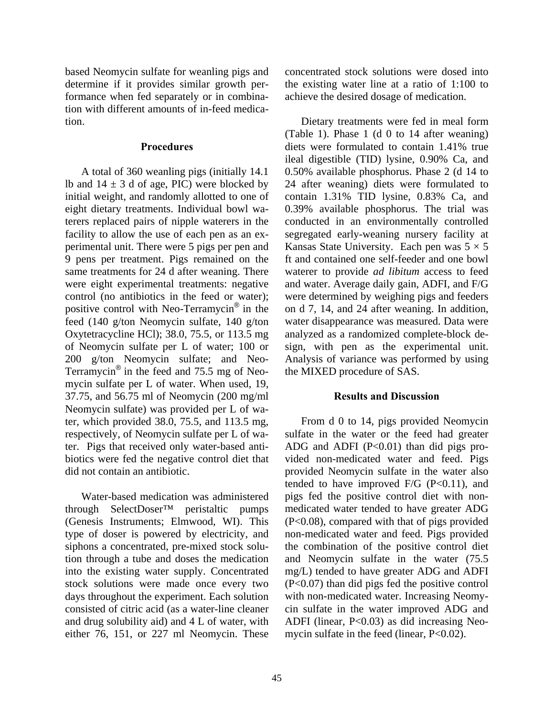based Neomycin sulfate for weanling pigs and determine if it provides similar growth performance when fed separately or in combination with different amounts of in-feed medication.

### **Procedures**

A total of 360 weanling pigs (initially 14.1 lb and  $14 \pm 3$  d of age, PIC) were blocked by initial weight, and randomly allotted to one of eight dietary treatments. Individual bowl waterers replaced pairs of nipple waterers in the facility to allow the use of each pen as an experimental unit. There were 5 pigs per pen and 9 pens per treatment. Pigs remained on the same treatments for 24 d after weaning. There were eight experimental treatments: negative control (no antibiotics in the feed or water); positive control with Neo-Terramycin® in the feed (140 g/ton Neomycin sulfate, 140 g/ton Oxytetracycline HCl); 38.0, 75.5, or 113.5 mg of Neomycin sulfate per L of water; 100 or 200 g/ton Neomycin sulfate; and Neo-Terramycin® in the feed and 75.5 mg of Neomycin sulfate per L of water. When used, 19, 37.75, and 56.75 ml of Neomycin (200 mg/ml Neomycin sulfate) was provided per L of water, which provided 38.0, 75.5, and 113.5 mg, respectively, of Neomycin sulfate per L of water. Pigs that received only water-based antibiotics were fed the negative control diet that did not contain an antibiotic.

Water-based medication was administered through SelectDoser™ peristaltic pumps (Genesis Instruments; Elmwood, WI). This type of doser is powered by electricity, and siphons a concentrated, pre-mixed stock solution through a tube and doses the medication into the existing water supply. Concentrated stock solutions were made once every two days throughout the experiment. Each solution consisted of citric acid (as a water-line cleaner and drug solubility aid) and 4 L of water, with either 76, 151, or 227 ml Neomycin. These

concentrated stock solutions were dosed into the existing water line at a ratio of 1:100 to achieve the desired dosage of medication.

Dietary treatments were fed in meal form (Table 1). Phase 1 (d 0 to 14 after weaning) diets were formulated to contain 1.41% true ileal digestible (TID) lysine, 0.90% Ca, and 0.50% available phosphorus. Phase 2 (d 14 to 24 after weaning) diets were formulated to contain 1.31% TID lysine, 0.83% Ca, and 0.39% available phosphorus. The trial was conducted in an environmentally controlled segregated early-weaning nursery facility at Kansas State University. Each pen was  $5 \times 5$ ft and contained one self-feeder and one bowl waterer to provide *ad libitum* access to feed and water. Average daily gain, ADFI, and F/G were determined by weighing pigs and feeders on d 7, 14, and 24 after weaning. In addition, water disappearance was measured. Data were analyzed as a randomized complete-block design, with pen as the experimental unit. Analysis of variance was performed by using the MIXED procedure of SAS.

## **Results and Discussion**

From d 0 to 14, pigs provided Neomycin sulfate in the water or the feed had greater ADG and ADFI  $(P<0.01)$  than did pigs provided non-medicated water and feed. Pigs provided Neomycin sulfate in the water also tended to have improved  $F/G$  (P<0.11), and pigs fed the positive control diet with nonmedicated water tended to have greater ADG (P<0.08), compared with that of pigs provided non-medicated water and feed. Pigs provided the combination of the positive control diet and Neomycin sulfate in the water (75.5 mg/L) tended to have greater ADG and ADFI (P<0.07) than did pigs fed the positive control with non-medicated water. Increasing Neomycin sulfate in the water improved ADG and ADFI (linear, P<0.03) as did increasing Neomycin sulfate in the feed (linear, P<0.02).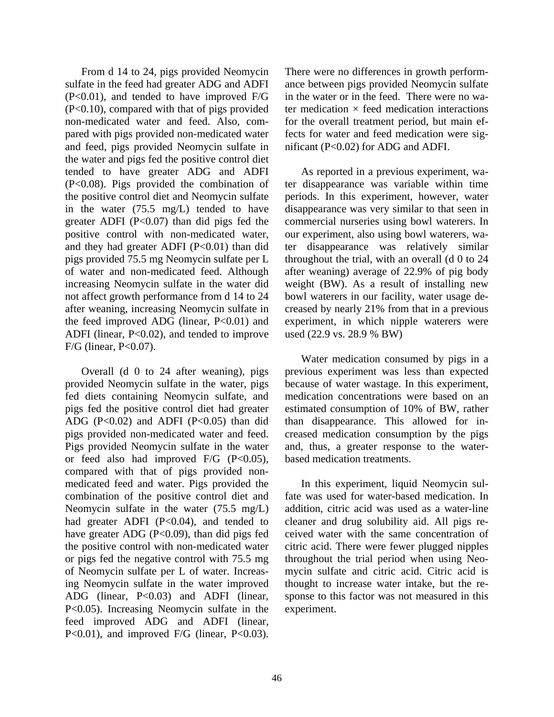From d 14 to 24, pigs provided Neomycin sulfate in the feed had greater ADG and ADFI (P<0.01), and tended to have improved F/G (P<0.10), compared with that of pigs provided non-medicated water and feed. Also, compared with pigs provided non-medicated water and feed, pigs provided Neomycin sulfate in the water and pigs fed the positive control diet tended to have greater ADG and ADFI (P<0.08). Pigs provided the combination of the positive control diet and Neomycin sulfate in the water (75.5 mg/L) tended to have greater ADFI (P<0.07) than did pigs fed the positive control with non-medicated water, and they had greater ADFI  $(P<0.01)$  than did pigs provided 75.5 mg Neomycin sulfate per L of water and non-medicated feed. Although increasing Neomycin sulfate in the water did not affect growth performance from d 14 to 24 after weaning, increasing Neomycin sulfate in the feed improved ADG (linear,  $P<0.01$ ) and ADFI (linear, P<0.02), and tended to improve F/G (linear, P<0.07).

Overall (d 0 to 24 after weaning), pigs provided Neomycin sulfate in the water, pigs fed diets containing Neomycin sulfate, and pigs fed the positive control diet had greater ADG (P<0.02) and ADFI (P<0.05) than did pigs provided non-medicated water and feed. Pigs provided Neomycin sulfate in the water or feed also had improved  $F/G$  (P<0.05), compared with that of pigs provided nonmedicated feed and water. Pigs provided the combination of the positive control diet and Neomycin sulfate in the water (75.5 mg/L) had greater ADFI  $(P<0.04)$ , and tended to have greater ADG (P<0.09), than did pigs fed the positive control with non-medicated water or pigs fed the negative control with 75.5 mg of Neomycin sulfate per L of water. Increasing Neomycin sulfate in the water improved ADG (linear, P<0.03) and ADFI (linear, P<0.05). Increasing Neomycin sulfate in the feed improved ADG and ADFI (linear, P<0.01), and improved F/G (linear, P<0.03).

There were no differences in growth performance between pigs provided Neomycin sulfate in the water or in the feed. There were no water medication  $\times$  feed medication interactions for the overall treatment period, but main effects for water and feed medication were significant (P<0.02) for ADG and ADFI.

As reported in a previous experiment, water disappearance was variable within time periods. In this experiment, however, water disappearance was very similar to that seen in commercial nurseries using bowl waterers. In our experiment, also using bowl waterers, water disappearance was relatively similar throughout the trial, with an overall (d 0 to 24 after weaning) average of 22.9% of pig body weight (BW). As a result of installing new bowl waterers in our facility, water usage decreased by nearly 21% from that in a previous experiment, in which nipple waterers were used (22.9 vs. 28.9 % BW)

Water medication consumed by pigs in a previous experiment was less than expected because of water wastage. In this experiment, medication concentrations were based on an estimated consumption of 10% of BW, rather than disappearance. This allowed for increased medication consumption by the pigs and, thus, a greater response to the waterbased medication treatments.

In this experiment, liquid Neomycin sulfate was used for water-based medication. In addition, citric acid was used as a water-line cleaner and drug solubility aid. All pigs received water with the same concentration of citric acid. There were fewer plugged nipples throughout the trial period when using Neomycin sulfate and citric acid. Citric acid is thought to increase water intake, but the response to this factor was not measured in this experiment.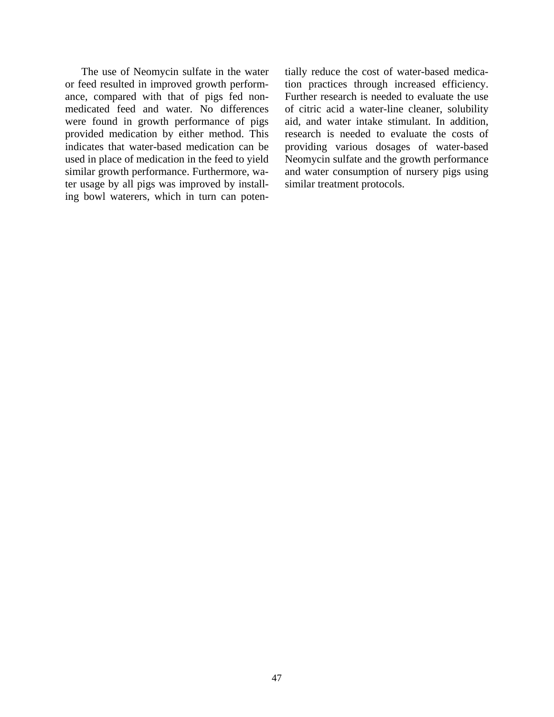The use of Neomycin sulfate in the water or feed resulted in improved growth performance, compared with that of pigs fed nonmedicated feed and water. No differences were found in growth performance of pigs provided medication by either method. This indicates that water-based medication can be used in place of medication in the feed to yield similar growth performance. Furthermore, water usage by all pigs was improved by installing bowl waterers, which in turn can poten-

tially reduce the cost of water-based medication practices through increased efficiency. Further research is needed to evaluate the use of citric acid a water-line cleaner, solubility aid, and water intake stimulant. In addition, research is needed to evaluate the costs of providing various dosages of water-based Neomycin sulfate and the growth performance and water consumption of nursery pigs using similar treatment protocols.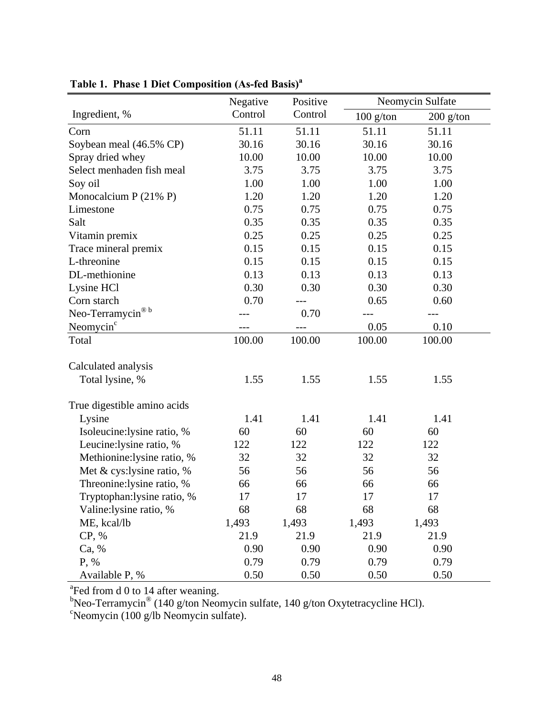|                             | Negative | Positive |             | Neomycin Sulfate |
|-----------------------------|----------|----------|-------------|------------------|
| Ingredient, %               | Control  | Control  | $100$ g/ton | $200$ g/ton      |
| Corn                        | 51.11    | 51.11    | 51.11       | 51.11            |
| Soybean meal (46.5% CP)     | 30.16    | 30.16    | 30.16       | 30.16            |
| Spray dried whey            | 10.00    | 10.00    | 10.00       | 10.00            |
| Select menhaden fish meal   | 3.75     | 3.75     | 3.75        | 3.75             |
| Soy oil                     | 1.00     | 1.00     | 1.00        | 1.00             |
| Monocalcium P (21% P)       | 1.20     | 1.20     | 1.20        | 1.20             |
| Limestone                   | 0.75     | 0.75     | 0.75        | 0.75             |
| Salt                        | 0.35     | 0.35     | 0.35        |                  |
| Vitamin premix              | 0.25     | 0.25     | 0.25        | 0.25             |
| Trace mineral premix        | 0.15     | 0.15     | 0.15        | 0.15             |
| L-threonine                 | 0.15     | 0.15     | 0.15        | 0.15             |
| DL-methionine               | 0.13     | 0.13     | 0.13        | 0.13             |
| Lysine HCl                  | 0.30     | 0.30     | 0.30        | 0.30             |
| Corn starch                 | 0.70     |          | 0.65        | 0.60             |
| ® b<br>Neo-Terramycin       |          | 0.70     |             |                  |
| Neomycin <sup>c</sup>       |          |          | 0.05        | 0.10             |
| Total                       | 100.00   | 100.00   | 100.00      | 100.00           |
|                             |          |          |             |                  |
| Calculated analysis         |          |          |             |                  |
| Total lysine, %             | 1.55     | 1.55     | 1.55        | 1.55             |
| True digestible amino acids |          |          |             |                  |
| Lysine                      | 1.41     | 1.41     | 1.41        | 1.41             |
| Isoleucine:lysine ratio, %  | 60       | 60       | 60          | 60               |
| Leucine: lysine ratio, %    | 122      | 122      | 122         | 122              |
| Methionine:lysine ratio, %  | 32       | 32       | 32          | 32               |
| Met & cys:lysine ratio, $%$ | 56       | 56       | 56          | 56               |
| Threonine:lysine ratio, %   | 66       | 66       | 66          | 66               |
| Tryptophan: lysine ratio, % | 17       | 17       | 17          | 17               |
| Valine:lysine ratio, %      | 68       | 68       | 68          | 68               |
| ME, kcal/lb                 | 1,493    | 1,493    | 1,493       | 1,493            |
| CP, %                       | 21.9     | 21.9     | 21.9        | 21.9             |
| Ca, %                       | 0.90     | 0.90     | 0.90        | 0.90             |
| P, %                        | 0.79     | 0.79     | 0.79        | 0.79             |
| Available P, %              | 0.50     | 0.50     | 0.50        | 0.50             |

# **Table 1. Phase 1 Diet Composition (As-fed Basis)<sup>a</sup>**

<sup>a</sup>Fed from d 0 to 14 after weaning.<br><sup>b</sup>Neo-Terramycin® (140 g/ton Neomycin sulfate, 140 g/ton Oxytetracycline HCl).<br><sup>c</sup>Neomycin (100 g/lb Neomycin sulfate).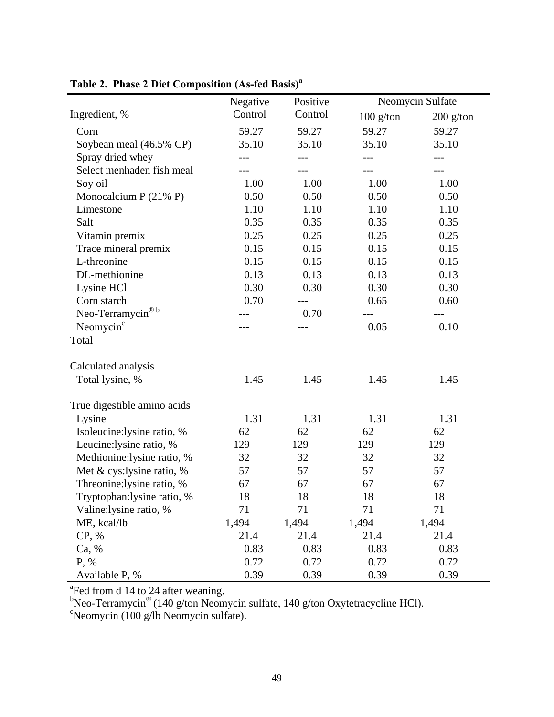|                             | Negative | Positive |             | Neomycin Sulfate |  |
|-----------------------------|----------|----------|-------------|------------------|--|
| Ingredient, %               | Control  | Control  | $100$ g/ton | $200$ g/ton      |  |
| Corn                        | 59.27    | 59.27    | 59.27       | 59.27            |  |
| Soybean meal (46.5% CP)     | 35.10    | 35.10    | 35.10       | 35.10            |  |
| Spray dried whey            | $---$    | ---      | ---         | $---$            |  |
| Select menhaden fish meal   |          |          |             |                  |  |
| Soy oil                     | 1.00     | 1.00     | 1.00        | 1.00             |  |
| Monocalcium $P(21\% P)$     | 0.50     | 0.50     | 0.50        | 0.50             |  |
| Limestone                   | 1.10     | 1.10     | 1.10        | 1.10             |  |
| Salt                        | 0.35     | 0.35     | 0.35        | 0.35             |  |
| Vitamin premix              | 0.25     | 0.25     | 0.25        | 0.25             |  |
| Trace mineral premix        | 0.15     | 0.15     | 0.15        | 0.15             |  |
| L-threonine                 | 0.15     | 0.15     | 0.15        | 0.15             |  |
| DL-methionine               | 0.13     | 0.13     | 0.13        | 0.13             |  |
| Lysine HCl                  | 0.30     | 0.30     | 0.30        | 0.30             |  |
| Corn starch                 | 0.70     |          | 0.65        | 0.60             |  |
| $\circ$ b<br>Neo-Terramycin |          | 0.70     |             |                  |  |
| Neomycin <sup>c</sup>       |          | ---      | 0.05        | 0.10             |  |
| Total                       |          |          |             |                  |  |
|                             |          |          |             |                  |  |
| Calculated analysis         |          |          |             |                  |  |
| Total lysine, %             | 1.45     | 1.45     | 1.45        | 1.45             |  |
| True digestible amino acids |          |          |             |                  |  |
| Lysine                      | 1.31     | 1.31     | 1.31        | 1.31             |  |
| Isoleucine:lysine ratio, %  | 62       | 62       | 62          | 62               |  |
| Leucine: lysine ratio, %    | 129      | 129      | 129         | 129              |  |
| Methionine:lysine ratio, %  | 32       | 32       | 32          | 32               |  |
| Met & cys:lysine ratio, %   | 57       | 57       | 57          | 57               |  |
| Threonine: lysine ratio, %  | 67       | 67       | 67          | 67               |  |
| Tryptophan:lysine ratio, %  | 18       | 18       | 18          | 18               |  |
| Valine:lysine ratio, %      | 71       | 71       | 71          | 71               |  |
| ME, kcal/lb                 | 1,494    | 1,494    | 1,494       | 1,494            |  |
| CP, %                       | 21.4     | 21.4     | 21.4        | 21.4             |  |
| Ca, %                       | 0.83     | 0.83     | 0.83        | 0.83             |  |
| P, %                        | 0.72     | 0.72     | 0.72        | 0.72             |  |
| Available P, %              | 0.39     | 0.39     | 0.39        | 0.39             |  |

**Table 2. Phase 2 Diet Composition (As-fed Basis)<sup>a</sup>**

<sup>a</sup>Fed from d 14 to 24 after weaning.<br><sup>b</sup>Neo-Terramycin® (140 g/ton Neomycin sulfate, 140 g/ton Oxytetracycline HCl).<br><sup>c</sup>Neomycin (100 g/lb Neomycin sulfate).